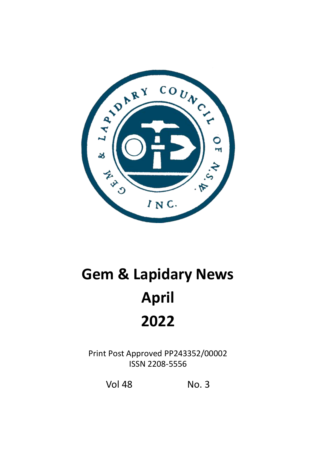

# **Gem & Lapidary News April 2022**

Print Post Approved PP243352/00002 ISSN 2208-5556

Vol 48 No. 3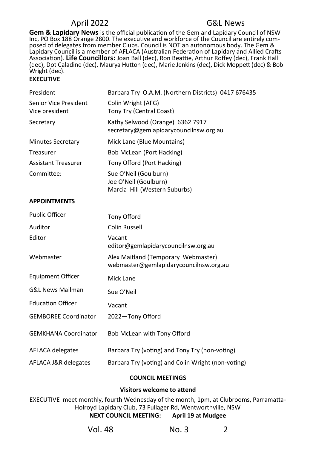**Gem & Lapidary News** is the official publication of the Gem and Lapidary Council of NSW Inc, PO Box 188 Orange 2800. The executive and workforce of the Council are entirely composed of delegates from member Clubs. Council is NOT an autonomous body. The Gem & Lapidary Council is a member of AFLACA (Australian Federation of Lapidary and Allied Crafts Association). **Life Councillors:** Joan Ball (dec), Ron Beattie, Arthur Roffey (dec), Frank Hall (dec), Dot Caladine (dec), Maurya Hutton (dec), Marie Jenkins (dec), Dick Moppett (dec) & Bob Wright (dec).

#### **EXECUTIVE**

| President                               | Barbara Try O.A.M. (Northern Districts) 0417 676435                             |
|-----------------------------------------|---------------------------------------------------------------------------------|
| Senior Vice President<br>Vice president | Colin Wright (AFG)<br>Tony Try (Central Coast)                                  |
| Secretary                               | Kathy Selwood (Orange) 6362 7917<br>secretary@gemlapidarycouncilnsw.org.au      |
| <b>Minutes Secretary</b>                | Mick Lane (Blue Mountains)                                                      |
| Treasurer                               | Bob McLean (Port Hacking)                                                       |
| <b>Assistant Treasurer</b>              | Tony Offord (Port Hacking)                                                      |
| Committee:                              | Sue O'Neil (Goulburn)<br>Joe O'Neil (Goulburn)<br>Marcia Hill (Western Suburbs) |

#### **APPOINTMENTS**

| <b>Public Officer</b>       | Tony Offord                                                                   |
|-----------------------------|-------------------------------------------------------------------------------|
| Auditor                     | Colin Russell                                                                 |
| Editor                      | Vacant<br>editor@gemlapidarycouncilnsw.org.au                                 |
| Webmaster                   | Alex Maitland (Temporary Webmaster)<br>webmaster@gemlapidarycouncilnsw.org.au |
| <b>Equipment Officer</b>    | Mick Lane                                                                     |
| <b>G&amp;L News Mailman</b> | Sue O'Neil                                                                    |
| <b>Education Officer</b>    | Vacant                                                                        |
| <b>GEMBOREE Coordinator</b> | 2022-Tony Offord                                                              |
| <b>GEMKHANA Coordinator</b> | Bob McLean with Tony Offord                                                   |
| <b>AFLACA delegates</b>     | Barbara Try (voting) and Tony Try (non-voting)                                |
| AFLACA J&R delegates        | Barbara Try (voting) and Colin Wright (non-voting)                            |

#### **COUNCIL MEETINGS**

#### **Visitors welcome to attend**

EXECUTIVE meet monthly, fourth Wednesday of the month, 1pm, at Clubrooms, Parramatta-Holroyd Lapidary Club, 73 Fullager Rd, Wentworthville, NSW **NEXT COUNCIL MEETING: April 19 at Mudgee** 

| <b>Vol. 48</b> | No. 3 |  |
|----------------|-------|--|
|----------------|-------|--|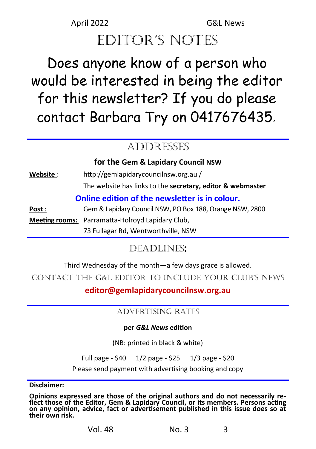## editor's notes

# Does anyone know of a person who would be interested in being the editor for this newsletter? If you do please contact Barbara Try on 0417676435*.*

## ADDRESSES

**for the Gem & Lapidary Council NSW**

**Website** : http://gemlapidarycouncilnsw.org.au / The website has links to the **secretary, editor & webmaster**

#### **Online edition of the newsletter is in colour.**

**Post** : Gem & Lapidary Council NSW, PO Box 188, Orange NSW, 2800 **Meeting rooms:** Parramatta-Holroyd Lapidary Club, 73 Fullagar Rd, Wentworthville, NSW

## Deadlines**:**

Third Wednesday of the month—a few days grace is allowed.

ContaCt the G&L editor to inCLude your CLub's news

**editor@gemlapidarycouncilnsw.org.au**

#### ADVERTISING RATES

#### **per** *G&L News* **edition**

(NB: printed in black & white)

Full page - \$40 1/2 page - \$25 1/3 page - \$20

Please send payment with advertising booking and copy

**Disclaimer:** 

**Opinions expressed are those of the original authors and do not necessarily reflect those of the Editor, Gem & Lapidary Council, or its members. Persons acting on any opinion, advice, fact or advertisement published in this issue does so at their own risk.**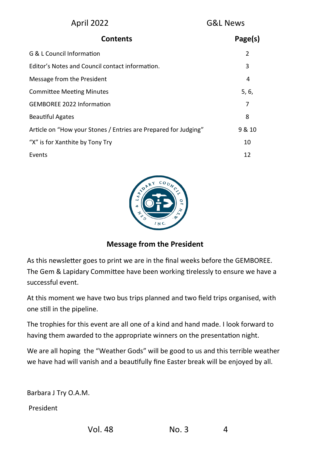| April 2022                                                      | <b>G&amp;L News</b> |  |
|-----------------------------------------------------------------|---------------------|--|
| <b>Contents</b>                                                 | Page(s)             |  |
| G & L Council Information                                       | $\overline{2}$      |  |
| Editor's Notes and Council contact information.                 | 3                   |  |
| Message from the President                                      | 4                   |  |
| <b>Committee Meeting Minutes</b>                                | 5, 6,               |  |
| <b>GEMBOREE 2022 Information</b>                                | 7                   |  |
| <b>Beautiful Agates</b>                                         | 8                   |  |
| Article on "How your Stones / Entries are Prepared for Judging" | 9 & 10              |  |
| "X" is for Xanthite by Tony Try                                 | 10                  |  |
| Events                                                          | 12                  |  |



#### **Message from the President**

As this newsletter goes to print we are in the final weeks before the GEMBOREE. The Gem & Lapidary Committee have been working tirelessly to ensure we have a successful event.

At this moment we have two bus trips planned and two field trips organised, with one still in the pipeline.

The trophies for this event are all one of a kind and hand made. I look forward to having them awarded to the appropriate winners on the presentation night.

We are all hoping the "Weather Gods" will be good to us and this terrible weather we have had will vanish and a beautifully fine Easter break will be enjoyed by all.

Barbara J Try O.A.M.

President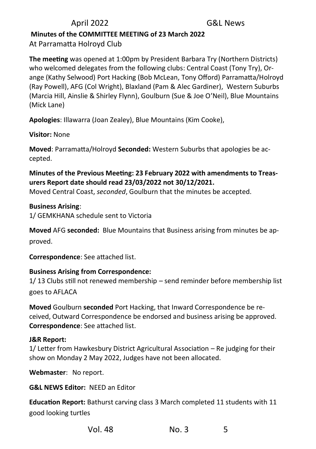#### **Minutes of the COMMITTEE MEETING of 23 March 2022**  At Parramatta Holroyd Club

**The meeting** was opened at 1:00pm by President Barbara Try (Northern Districts) who welcomed delegates from the following clubs: Central Coast (Tony Try), Orange (Kathy Selwood) Port Hacking (Bob McLean, Tony Offord) Parramatta/Holroyd (Ray Powell), AFG (Col Wright), Blaxland (Pam & Alec Gardiner), Western Suburbs (Marcia Hill, Ainslie & Shirley Flynn), Goulburn (Sue & Joe O'Neil), Blue Mountains (Mick Lane)

**Apologies**: Illawarra (Joan Zealey), Blue Mountains (Kim Cooke),

**Visitor:** None

**Moved**: Parramatta/Holroyd **Seconded:** Western Suburbs that apologies be accepted.

#### **Minutes of the Previous Meeting: 23 February 2022 with amendments to Treasurers Report date should read 23/03/2022 not 30/12/2021.**

Moved Central Coast, *seconded*, Goulburn that the minutes be accepted.

#### **Business Arising**:

1/ GEMKHANA schedule sent to Victoria

**Moved** AFG **seconded:** Blue Mountains that Business arising from minutes be approved.

**Correspondence**: See attached list.

#### **Business Arising from Correspondence:**

1/ 13 Clubs still not renewed membership – send reminder before membership list goes to AFLACA

**Moved** Goulburn **seconded** Port Hacking, that Inward Correspondence be received, Outward Correspondence be endorsed and business arising be approved. **Correspondence**: See attached list.

#### **J&R Report:**

1/ Letter from Hawkesbury District Agricultural Association – Re judging for their show on Monday 2 May 2022, Judges have not been allocated.

**Webmaster**: No report.

**G&L NEWS Editor:** NEED an Editor

**Education Report:** Bathurst carving class 3 March completed 11 students with 11 good looking turtles

Vol. 48 No. 3 5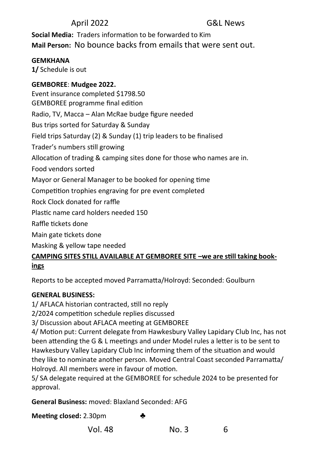**Social Media:** Traders information to be forwarded to Kim **Mail Person:** No bounce backs from emails that were sent out.

#### **GEMKHANA**

**1/** Schedule is out

#### **GEMBOREE**: **Mudgee 2022.**

Event insurance completed \$1798.50 GEMBOREE programme final edition Radio, TV, Macca – Alan McRae budge figure needed Bus trips sorted for Saturday & Sunday Field trips Saturday (2) & Sunday (1) trip leaders to be finalised Trader's numbers still growing Allocation of trading & camping sites done for those who names are in. Food vendors sorted Mayor or General Manager to be booked for opening time Competition trophies engraving for pre event completed Rock Clock donated for raffle Plastic name card holders needed 150 Raffle tickets done Main gate tickets done Masking & yellow tape needed

#### **CAMPING SITES STILL AVAILABLE AT GEMBOREE SITE –we are still taking bookings**

Reports to be accepted moved Parramatta/Holroyd: Seconded: Goulburn

#### **GENERAL BUSINESS:**

1/ AFLACA historian contracted, still no reply

2/2024 competition schedule replies discussed

3/ Discussion about AFLACA meeting at GEMBOREE

4/ Motion put: Current delegate from Hawkesbury Valley Lapidary Club Inc, has not been attending the G & L meetings and under Model rules a letter is to be sent to Hawkesbury Valley Lapidary Club Inc informing them of the situation and would they like to nominate another person. Moved Central Coast seconded Parramatta/ Holroyd. All members were in favour of motion.

5/ SA delegate required at the GEMBOREE for schedule 2024 to be presented for approval.

**General Business:** moved: Blaxland Seconded: AFG

**Meeting closed:** 2.30pm

Vol. 48 No. 3 6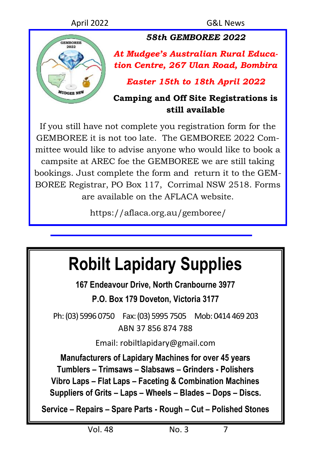

*58th GEMBOREE 2022*

*At Mudgee's Australian Rural Education Centre, 267 Ulan Road, Bombira*

*Easter 15th to 18th April 2022*

## **Camping and Off Site Registrations is still available**

If you still have not complete you registration form for the GEMBOREE it is not too late. The GEMBOREE 2022 Committee would like to advise anyone who would like to book a campsite at AREC foe the GEMBOREE we are still taking bookings. Just complete the form and return it to the GEM-BOREE Registrar, PO Box 117, Corrimal NSW 2518. Forms are available on the AFLACA website.

https://aflaca.org.au/gemboree/

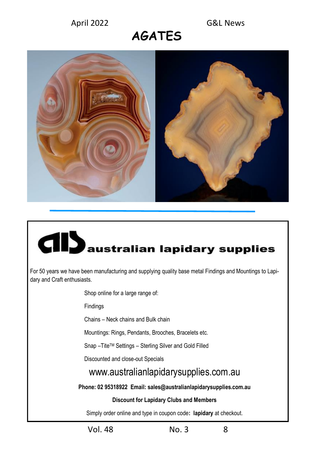## **AGATES**



# **El D**australian lapidary supplies

For 50 years we have been manufacturing and supplying quality base metal Findings and Mountings to Lapidary and Craft enthusiasts.

Shop online for a large range of:

Findings

Chains – Neck chains and Bulk chain

Mountings: Rings, Pendants, Brooches, Bracelets etc.

Snap –TiteTM Settings – Sterling Silver and Gold Filled

Discounted and close-out Specials

#### www.australianlapidarysupplies.com.au

**Phone: 02 95318922 Email: sales@australianlapidarysupplies.com.au**

#### **Discount for Lapidary Clubs and Members**

Simply order online and type in coupon code**: lapidary** at checkout.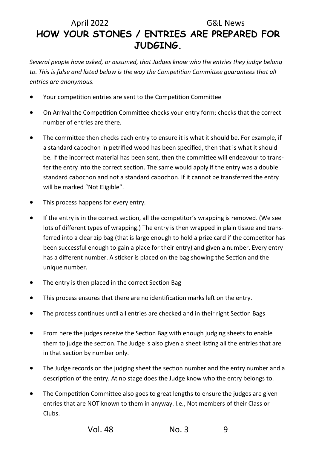## April 2022 G&L News **HOW YOUR STONES / ENTRIES ARE PREPARED FOR JUDGING.**

*Several people have asked, or assumed, that Judges know who the entries they judge belong to. This is false and listed below is the way the Competition Committee guarantees that all entries are anonymous.*

- Your competition entries are sent to the Competition Committee
- On Arrival the Competition Committee checks your entry form; checks that the correct number of entries are there.
- The committee then checks each entry to ensure it is what it should be. For example, if a standard cabochon in petrified wood has been specified, then that is what it should be. If the incorrect material has been sent, then the committee will endeavour to transfer the entry into the correct section. The same would apply if the entry was a double standard cabochon and not a standard cabochon. If it cannot be transferred the entry will be marked "Not Eligible".
- This process happens for every entry.
- If the entry is in the correct section, all the competitor's wrapping is removed. (We see lots of different types of wrapping.) The entry is then wrapped in plain tissue and transferred into a clear zip bag (that is large enough to hold a prize card if the competitor has been successful enough to gain a place for their entry) and given a number. Every entry has a different number. A sticker is placed on the bag showing the Section and the unique number.
- The entry is then placed in the correct Section Bag
- This process ensures that there are no identification marks left on the entry.
- The process continues until all entries are checked and in their right Section Bags
- From here the judges receive the Section Bag with enough judging sheets to enable them to judge the section. The Judge is also given a sheet listing all the entries that are in that section by number only.
- The Judge records on the judging sheet the section number and the entry number and a description of the entry. At no stage does the Judge know who the entry belongs to.
- The Competition Committee also goes to great lengths to ensure the judges are given entries that are NOT known to them in anyway. I.e., Not members of their Class or Clubs.

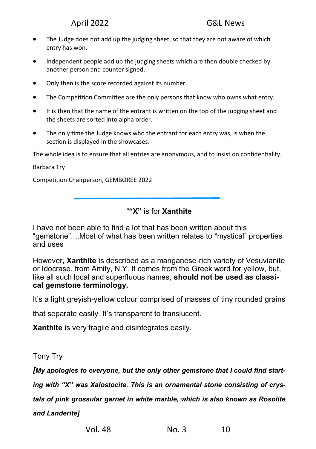- The Judge does not add up the judging sheet, so that they are not aware of which entry has won.
- Independent people add up the judging sheets which are then double checked by another person and counter signed.
- Only then is the score recorded against its number.
- The Competition Committee are the only persons that know who owns what entry.
- It is then that the name of the entrant is written on the top of the judging sheet and the sheets are sorted into alpha order.
- The only time the Judge knows who the entrant for each entry was, is when the section is displayed in the showcases.

The whole idea is to ensure that all entries are anonymous, and to insist on confidentiality.

Barbara Try

Competition Chairperson, GEMBOREE 2022

"**"X"** is for **Xanthite**

I have not been able to find a lot that has been written about this "gemstone". ..Most of what has been written relates to "mystical" properties and uses

However**, Xanthite** is described as a manganese-rich variety of Vesuvianite or Idocrase. from Amity, N.Y. It comes from the Greek word for yellow, but, like all such local and superfluous names, **should not be used as classical gemstone terminology.**

It's a light greyish-yellow colour comprised of masses of tiny rounded grains

that separate easily. It's transparent to translucent.

**Xanthite** is very fragile and disintegrates easily.

#### Tony Try

*[My apologies to everyone, but the only other gemstone that I could find start-*

*ing with "X" was Xalostocite. This is an ornamental stone consisting of crys-*

*tals of pink grossular garnet in white marble, which is also known as Rosolite* 

*and Landerite]*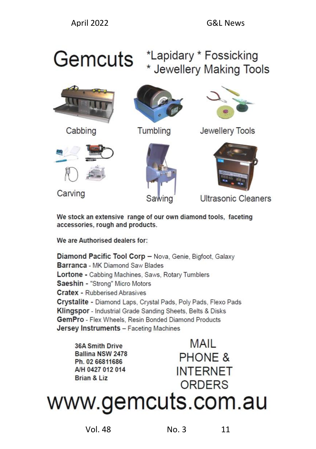## Gemcuts \*Lapidary \* Fossicking \* Jewellery Making Tools



Cabbing



Tumbling



Jewellery Tools



Carving





Ultrasonic Cleaners

We stock an extensive range of our own diamond tools, faceting accessories, rough and products.

We are Authorised dealers for:

Diamond Pacific Tool Corp - Nova, Genie, Bigfoot, Galaxy Barranca - MK Diamond Saw Blades Lortone - Cabbing Machines, Saws, Rotary Tumblers Saeshin - "Strong" Micro Motors **Cratex - Rubberised Abrasives** Crystalite - Diamond Laps, Crystal Pads, Poly Pads, Flexo Pads Klingspor - Industrial Grade Sanding Sheets, Belts & Disks GemPro - Flex Wheels, Resin Bonded Diamond Products **Jersey Instruments - Faceting Machines** 

36A Smith Drive Ballina NSW 2478 Ph. 02 66811686 A/H 0427 012 014 Brian & Liz

**MAIL PHONE & INTERNET** ORDERS

www.gemcuts.com.au

Vol. 48 No. 3 11